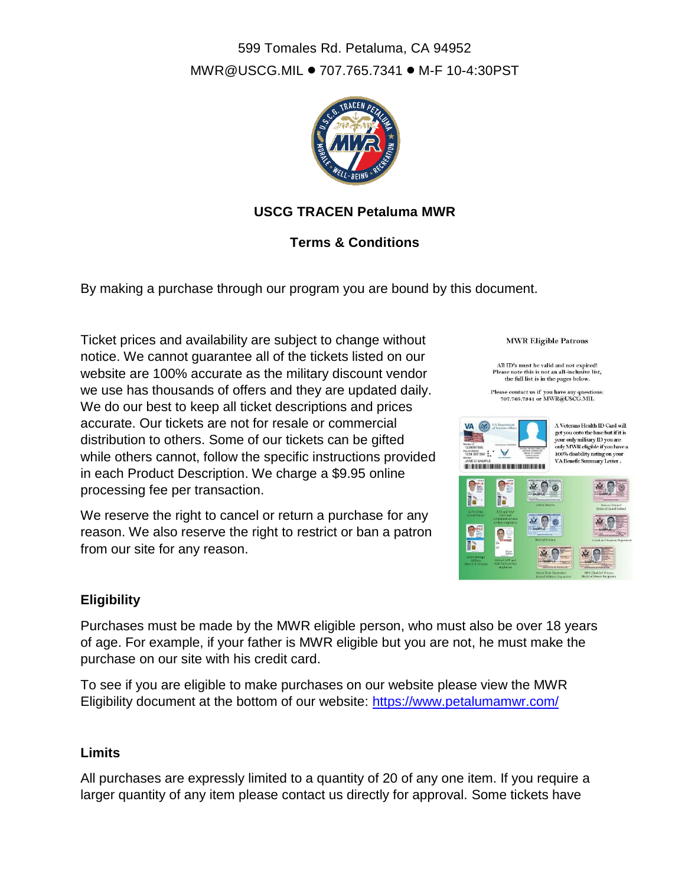# 599 Tomales Rd. Petaluma, CA 94952 [MWR@USCG.MIL](mailto:MWR@USCG.MIL) • 707.765.7341 • M-F 10-4:30PST



# **USCG TRACEN Petaluma MWR**

# **Terms & Conditions**

By making a purchase through our program you are bound by this document.

Ticket prices and availability are subject to change without notice. We cannot guarantee all of the tickets listed on our website are 100% accurate as the military discount vendor we use has thousands of offers and they are updated daily. We do our best to keep all ticket descriptions and prices accurate. Our tickets are not for resale or commercial distribution to others. Some of our tickets can be gifted while others cannot, follow the specific instructions provided in each Product Description. We charge a \$9.95 online processing fee per transaction.

We reserve the right to cancel or return a purchase for any reason. We also reserve the right to restrict or ban a patron from our site for any reason.



All ID's must be valid and not expired! senote this is not an all-inclusive<br>the full list is in the pages below. Ple

Please contact us if you have any questions:<br>707.765.7341 or MWR@USCG.MIL



### **Eligibility**

Purchases must be made by the MWR eligible person, who must also be over 18 years of age. For example, if your father is MWR eligible but you are not, he must make the purchase on our site with his credit card.

To see if you are eligible to make purchases on our website please view the MWR Eligibility document at the bottom of our website:<https://www.petalumamwr.com/>

#### **Limits**

All purchases are expressly limited to a quantity of 20 of any one item. If you require a larger quantity of any item please contact us directly for approval. Some tickets have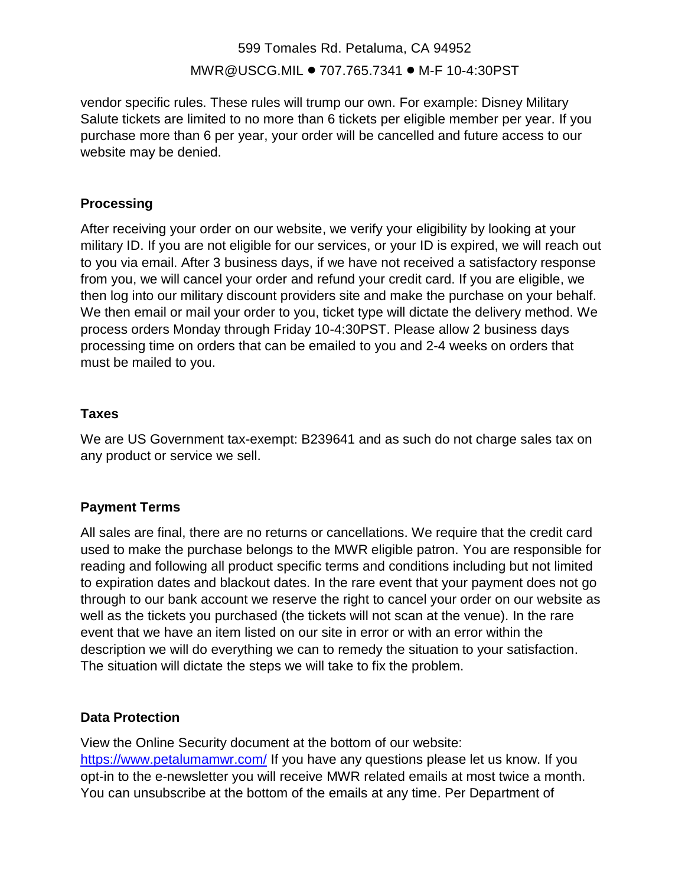# 599 Tomales Rd. Petaluma, CA 94952 [MWR@USCG.MIL](mailto:MWR@USCG.MIL) • 707.765.7341 • M-F 10-4:30PST

vendor specific rules. These rules will trump our own. For example: Disney Military Salute tickets are limited to no more than 6 tickets per eligible member per year. If you purchase more than 6 per year, your order will be cancelled and future access to our website may be denied.

## **Processing**

After receiving your order on our website, we verify your eligibility by looking at your military ID. If you are not eligible for our services, or your ID is expired, we will reach out to you via email. After 3 business days, if we have not received a satisfactory response from you, we will cancel your order and refund your credit card. If you are eligible, we then log into our military discount providers site and make the purchase on your behalf. We then email or mail your order to you, ticket type will dictate the delivery method. We process orders Monday through Friday 10-4:30PST. Please allow 2 business days processing time on orders that can be emailed to you and 2-4 weeks on orders that must be mailed to you.

## **Taxes**

We are US Government tax-exempt: B239641 and as such do not charge sales tax on any product or service we sell.

# **Payment Terms**

All sales are final, there are no returns or cancellations. We require that the credit card used to make the purchase belongs to the MWR eligible patron. You are responsible for reading and following all product specific terms and conditions including but not limited to expiration dates and blackout dates. In the rare event that your payment does not go through to our bank account we reserve the right to cancel your order on our website as well as the tickets you purchased (the tickets will not scan at the venue). In the rare event that we have an item listed on our site in error or with an error within the description we will do everything we can to remedy the situation to your satisfaction. The situation will dictate the steps we will take to fix the problem.

### **Data Protection**

View the Online Security document at the bottom of our website: <https://www.petalumamwr.com/> If you have any questions please let us know. If you opt-in to the e-newsletter you will receive MWR related emails at most twice a month. You can unsubscribe at the bottom of the emails at any time. Per Department of